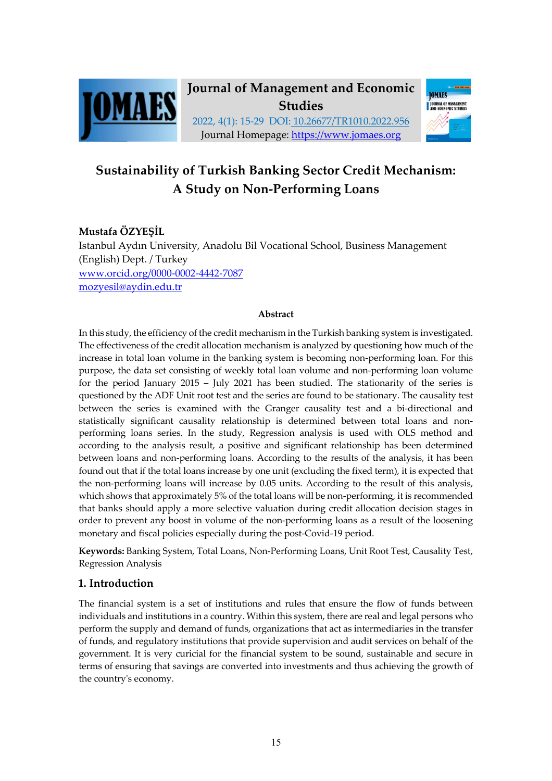



# **Sustainability of Turkish Banking Sector Credit Mechanism: A Study on Non-Performing Loans**

# **Mustafa ÖZYEŞİL**

Istanbul Aydın University, Anadolu Bil Vocational School, Business Management (English) Dept. / Turkey www.orcid.org/0000-0002-4442-7087 mozyesil@aydin.edu.tr

#### **Abstract**

In this study, the efficiency of the credit mechanism in the Turkish banking system is investigated. The effectiveness of the credit allocation mechanism is analyzed by questioning how much of the increase in total loan volume in the banking system is becoming non-performing loan. For this purpose, the data set consisting of weekly total loan volume and non-performing loan volume for the period January 2015 – July 2021 has been studied. The stationarity of the series is questioned by the ADF Unit root test and the series are found to be stationary. The causality test between the series is examined with the Granger causality test and a bi-directional and statistically significant causality relationship is determined between total loans and nonperforming loans series. In the study, Regression analysis is used with OLS method and according to the analysis result, a positive and significant relationship has been determined between loans and non-performing loans. According to the results of the analysis, it has been found out that if the total loans increase by one unit (excluding the fixed term), it is expected that the non-performing loans will increase by 0.05 units. According to the result of this analysis, which shows that approximately 5% of the total loans will be non-performing, it is recommended that banks should apply a more selective valuation during credit allocation decision stages in order to prevent any boost in volume of the non-performing loans as a result of the loosening monetary and fiscal policies especially during the post-Covid-19 period.

**Keywords:** Banking System, Total Loans, Non-Performing Loans, Unit Root Test, Causality Test, Regression Analysis

### **1. Introduction**

The financial system is a set of institutions and rules that ensure the flow of funds between individuals and institutions in a country. Within this system, there are real and legal persons who perform the supply and demand of funds, organizations that act as intermediaries in the transfer of funds, and regulatory institutions that provide supervision and audit services on behalf of the government. It is very curicial for the financial system to be sound, sustainable and secure in terms of ensuring that savings are converted into investments and thus achieving the growth of the country's economy.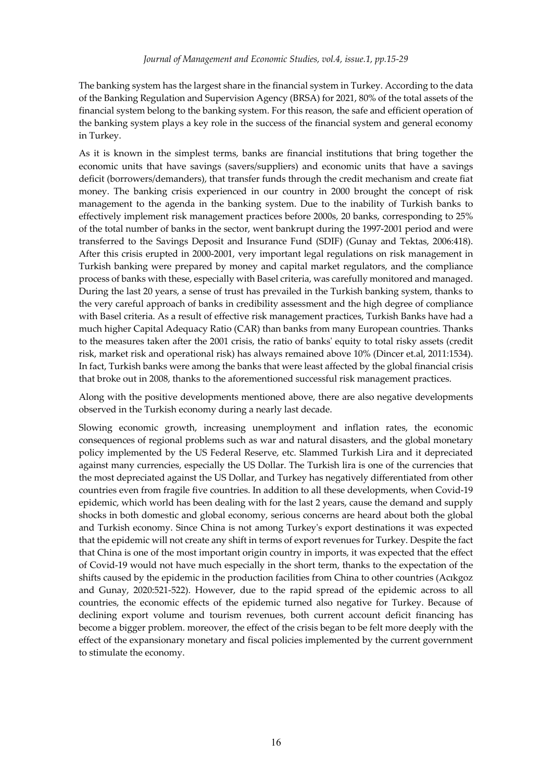The banking system has the largest share in the financial system in Turkey. According to the data of the Banking Regulation and Supervision Agency (BRSA) for 2021, 80% of the total assets of the financial system belong to the banking system. For this reason, the safe and efficient operation of the banking system plays a key role in the success of the financial system and general economy in Turkey.

As it is known in the simplest terms, banks are financial institutions that bring together the economic units that have savings (savers/suppliers) and economic units that have a savings deficit (borrowers/demanders), that transfer funds through the credit mechanism and create fiat money. The banking crisis experienced in our country in 2000 brought the concept of risk management to the agenda in the banking system. Due to the inability of Turkish banks to effectively implement risk management practices before 2000s, 20 banks, corresponding to 25% of the total number of banks in the sector, went bankrupt during the 1997-2001 period and were transferred to the Savings Deposit and Insurance Fund (SDIF) (Gunay and Tektas, 2006:418). After this crisis erupted in 2000-2001, very important legal regulations on risk management in Turkish banking were prepared by money and capital market regulators, and the compliance process of banks with these, especially with Basel criteria, was carefully monitored and managed. During the last 20 years, a sense of trust has prevailed in the Turkish banking system, thanks to the very careful approach of banks in credibility assessment and the high degree of compliance with Basel criteria. As a result of effective risk management practices, Turkish Banks have had a much higher Capital Adequacy Ratio (CAR) than banks from many European countries. Thanks to the measures taken after the 2001 crisis, the ratio of banks' equity to total risky assets (credit risk, market risk and operational risk) has always remained above 10% (Dincer et.al, 2011:1534). In fact, Turkish banks were among the banks that were least affected by the global financial crisis that broke out in 2008, thanks to the aforementioned successful risk management practices.

Along with the positive developments mentioned above, there are also negative developments observed in the Turkish economy during a nearly last decade.

Slowing economic growth, increasing unemployment and inflation rates, the economic consequences of regional problems such as war and natural disasters, and the global monetary policy implemented by the US Federal Reserve, etc. Slammed Turkish Lira and it depreciated against many currencies, especially the US Dollar. The Turkish lira is one of the currencies that the most depreciated against the US Dollar, and Turkey has negatively differentiated from other countries even from fragile five countries. In addition to all these developments, when Covid-19 epidemic, which world has been dealing with for the last 2 years, cause the demand and supply shocks in both domestic and global economy, serious concerns are heard about both the global and Turkish economy. Since China is not among Turkey's export destinations it was expected that the epidemic will not create any shift in terms of export revenues for Turkey. Despite the fact that China is one of the most important origin country in imports, it was expected that the effect of Covid-19 would not have much especially in the short term, thanks to the expectation of the shifts caused by the epidemic in the production facilities from China to other countries (Acıkgoz and Gunay, 2020:521-522). However, due to the rapid spread of the epidemic across to all countries, the economic effects of the epidemic turned also negative for Turkey. Because of declining export volume and tourism revenues, both current account deficit financing has become a bigger problem. moreover, the effect of the crisis began to be felt more deeply with the effect of the expansionary monetary and fiscal policies implemented by the current government to stimulate the economy.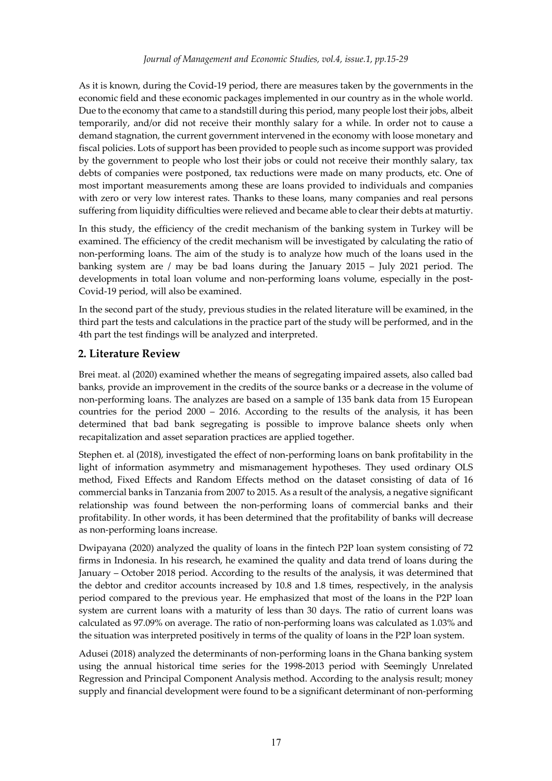As it is known, during the Covid-19 period, there are measures taken by the governments in the economic field and these economic packages implemented in our country as in the whole world. Due to the economy that came to a standstill during this period, many people lost their jobs, albeit temporarily, and/or did not receive their monthly salary for a while. In order not to cause a demand stagnation, the current government intervened in the economy with loose monetary and fiscal policies. Lots of support has been provided to people such as income support was provided by the government to people who lost their jobs or could not receive their monthly salary, tax debts of companies were postponed, tax reductions were made on many products, etc. One of most important measurements among these are loans provided to individuals and companies with zero or very low interest rates. Thanks to these loans, many companies and real persons suffering from liquidity difficulties were relieved and became able to clear their debts at maturtiy.

In this study, the efficiency of the credit mechanism of the banking system in Turkey will be examined. The efficiency of the credit mechanism will be investigated by calculating the ratio of non-performing loans. The aim of the study is to analyze how much of the loans used in the banking system are / may be bad loans during the January 2015 – July 2021 period. The developments in total loan volume and non-performing loans volume, especially in the post-Covid-19 period, will also be examined.

In the second part of the study, previous studies in the related literature will be examined, in the third part the tests and calculations in the practice part of the study will be performed, and in the 4th part the test findings will be analyzed and interpreted.

# **2. Literature Review**

Brei meat. al (2020) examined whether the means of segregating impaired assets, also called bad banks, provide an improvement in the credits of the source banks or a decrease in the volume of non-performing loans. The analyzes are based on a sample of 135 bank data from 15 European countries for the period 2000 – 2016. According to the results of the analysis, it has been determined that bad bank segregating is possible to improve balance sheets only when recapitalization and asset separation practices are applied together.

Stephen et. al (2018), investigated the effect of non-performing loans on bank profitability in the light of information asymmetry and mismanagement hypotheses. They used ordinary OLS method, Fixed Effects and Random Effects method on the dataset consisting of data of 16 commercial banks in Tanzania from 2007 to 2015. As a result of the analysis, a negative significant relationship was found between the non-performing loans of commercial banks and their profitability. In other words, it has been determined that the profitability of banks will decrease as non-performing loans increase.

Dwipayana (2020) analyzed the quality of loans in the fintech P2P loan system consisting of 72 firms in Indonesia. In his research, he examined the quality and data trend of loans during the January – October 2018 period. According to the results of the analysis, it was determined that the debtor and creditor accounts increased by 10.8 and 1.8 times, respectively, in the analysis period compared to the previous year. He emphasized that most of the loans in the P2P loan system are current loans with a maturity of less than 30 days. The ratio of current loans was calculated as 97.09% on average. The ratio of non-performing loans was calculated as 1.03% and the situation was interpreted positively in terms of the quality of loans in the P2P loan system.

Adusei (2018) analyzed the determinants of non-performing loans in the Ghana banking system using the annual historical time series for the 1998-2013 period with Seemingly Unrelated Regression and Principal Component Analysis method. According to the analysis result; money supply and financial development were found to be a significant determinant of non-performing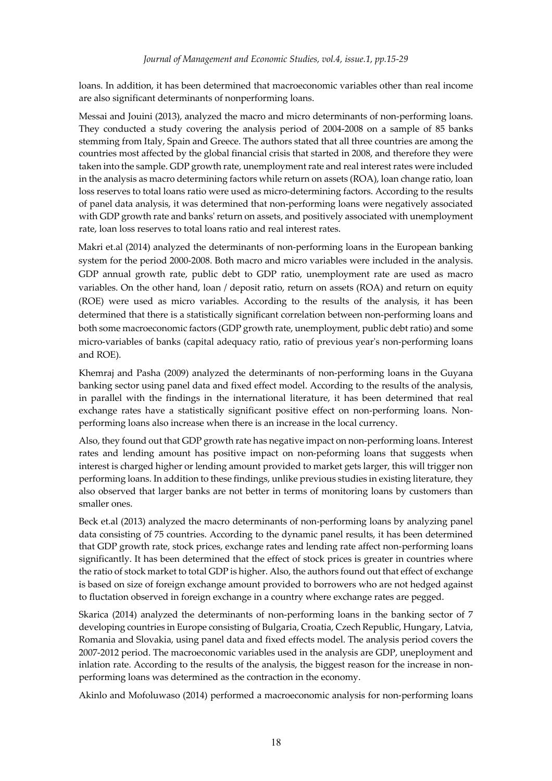loans. In addition, it has been determined that macroeconomic variables other than real income are also significant determinants of nonperforming loans.

Messai and Jouini (2013), analyzed the macro and micro determinants of non-performing loans. They conducted a study covering the analysis period of 2004-2008 on a sample of 85 banks stemming from Italy, Spain and Greece. The authors stated that all three countries are among the countries most affected by the global financial crisis that started in 2008, and therefore they were taken into the sample. GDP growth rate, unemployment rate and real interest rates were included in the analysis as macro determining factors while return on assets (ROA), loan change ratio, loan loss reserves to total loans ratio were used as micro-determining factors. According to the results of panel data analysis, it was determined that non-performing loans were negatively associated with GDP growth rate and banks' return on assets, and positively associated with unemployment rate, loan loss reserves to total loans ratio and real interest rates.

Makri et.al (2014) analyzed the determinants of non-performing loans in the European banking system for the period 2000-2008. Both macro and micro variables were included in the analysis. GDP annual growth rate, public debt to GDP ratio, unemployment rate are used as macro variables. On the other hand, loan / deposit ratio, return on assets (ROA) and return on equity (ROE) were used as micro variables. According to the results of the analysis, it has been determined that there is a statistically significant correlation between non-performing loans and both some macroeconomic factors (GDP growth rate, unemployment, public debt ratio) and some micro-variables of banks (capital adequacy ratio, ratio of previous year's non-performing loans and ROE).

Khemraj and Pasha (2009) analyzed the determinants of non-performing loans in the Guyana banking sector using panel data and fixed effect model. According to the results of the analysis, in parallel with the findings in the international literature, it has been determined that real exchange rates have a statistically significant positive effect on non-performing loans. Nonperforming loans also increase when there is an increase in the local currency.

Also, they found out that GDP growth rate has negative impact on non-performing loans. Interest rates and lending amount has positive impact on non-peforming loans that suggests when interest is charged higher or lending amount provided to market gets larger, this will trigger non performing loans. In addition to these findings, unlike previous studies in existing literature, they also observed that larger banks are not better in terms of monitoring loans by customers than smaller ones.

Beck et.al (2013) analyzed the macro determinants of non-performing loans by analyzing panel data consisting of 75 countries. According to the dynamic panel results, it has been determined that GDP growth rate, stock prices, exchange rates and lending rate affect non-performing loans significantly. It has been determined that the effect of stock prices is greater in countries where the ratio of stock market to total GDP is higher. Also, the authors found out that effect of exchange is based on size of foreign exchange amount provided to borrowers who are not hedged against to fluctation observed in foreign exchange in a country where exchange rates are pegged.

Skarica (2014) analyzed the determinants of non-performing loans in the banking sector of 7 developing countries in Europe consisting of Bulgaria, Croatia, Czech Republic, Hungary, Latvia, Romania and Slovakia, using panel data and fixed effects model. The analysis period covers the 2007-2012 period. The macroeconomic variables used in the analysis are GDP, uneployment and inlation rate. According to the results of the analysis, the biggest reason for the increase in nonperforming loans was determined as the contraction in the economy.

Akinlo and Mofoluwaso (2014) performed a macroeconomic analysis for non-performing loans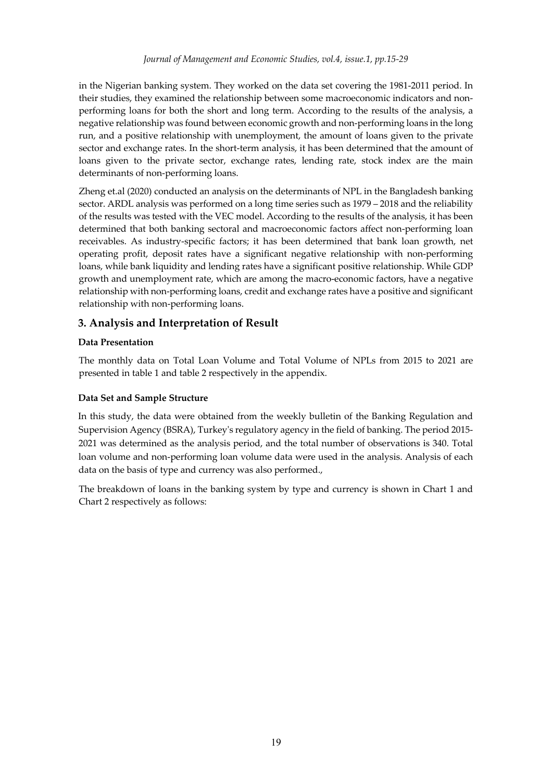in the Nigerian banking system. They worked on the data set covering the 1981-2011 period. In their studies, they examined the relationship between some macroeconomic indicators and nonperforming loans for both the short and long term. According to the results of the analysis, a negative relationship was found between economic growth and non-performing loans in the long run, and a positive relationship with unemployment, the amount of loans given to the private sector and exchange rates. In the short-term analysis, it has been determined that the amount of loans given to the private sector, exchange rates, lending rate, stock index are the main determinants of non-performing loans.

Zheng et.al (2020) conducted an analysis on the determinants of NPL in the Bangladesh banking sector. ARDL analysis was performed on a long time series such as 1979 – 2018 and the reliability of the results was tested with the VEC model. According to the results of the analysis, it has been determined that both banking sectoral and macroeconomic factors affect non-performing loan receivables. As industry-specific factors; it has been determined that bank loan growth, net operating profit, deposit rates have a significant negative relationship with non-performing loans, while bank liquidity and lending rates have a significant positive relationship. While GDP growth and unemployment rate, which are among the macro-economic factors, have a negative relationship with non-performing loans, credit and exchange rates have a positive and significant relationship with non-performing loans.

# **3. Analysis and Interpretation of Result**

### **Data Presentation**

The monthly data on Total Loan Volume and Total Volume of NPLs from 2015 to 2021 are presented in table 1 and table 2 respectively in the appendix.

### **Data Set and Sample Structure**

In this study, the data were obtained from the weekly bulletin of the Banking Regulation and Supervision Agency (BSRA), Turkey's regulatory agency in the field of banking. The period 2015- 2021 was determined as the analysis period, and the total number of observations is 340. Total loan volume and non-performing loan volume data were used in the analysis. Analysis of each data on the basis of type and currency was also performed.,

The breakdown of loans in the banking system by type and currency is shown in Chart 1 and Chart 2 respectively as follows: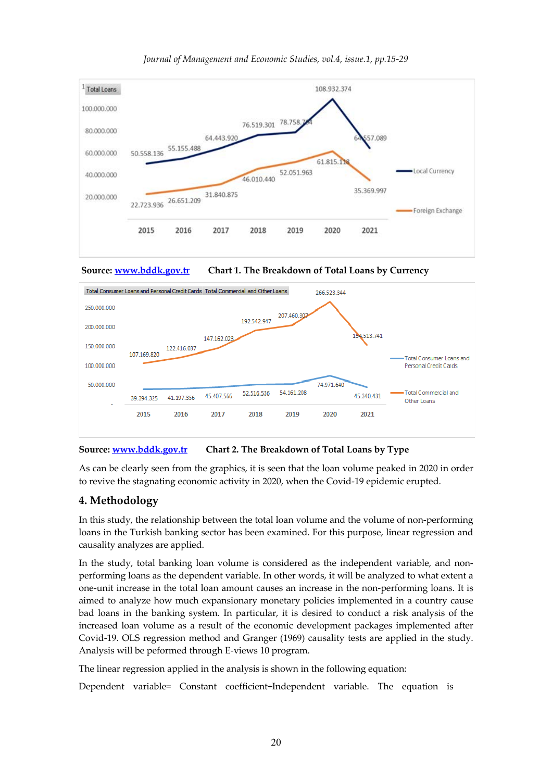

#### *Journal of Management and Economic Studies, vol.4, issue.1, pp.15-29*





### **Source: www.bddk.gov.tr Chart 2. The Breakdown of Total Loans by Type**

As can be clearly seen from the graphics, it is seen that the loan volume peaked in 2020 in order to revive the stagnating economic activity in 2020, when the Covid-19 epidemic erupted.

# **4. Methodology**

In this study, the relationship between the total loan volume and the volume of non-performing loans in the Turkish banking sector has been examined. For this purpose, linear regression and causality analyzes are applied.

In the study, total banking loan volume is considered as the independent variable, and nonperforming loans as the dependent variable. In other words, it will be analyzed to what extent a one-unit increase in the total loan amount causes an increase in the non-performing loans. It is aimed to analyze how much expansionary monetary policies implemented in a country cause bad loans in the banking system. In particular, it is desired to conduct a risk analysis of the increased loan volume as a result of the economic development packages implemented after Covid-19. OLS regression method and Granger (1969) causality tests are applied in the study. Analysis will be peformed through E-views 10 program.

The linear regression applied in the analysis is shown in the following equation:

Dependent variable= Constant coefficient+Independent variable. The equation is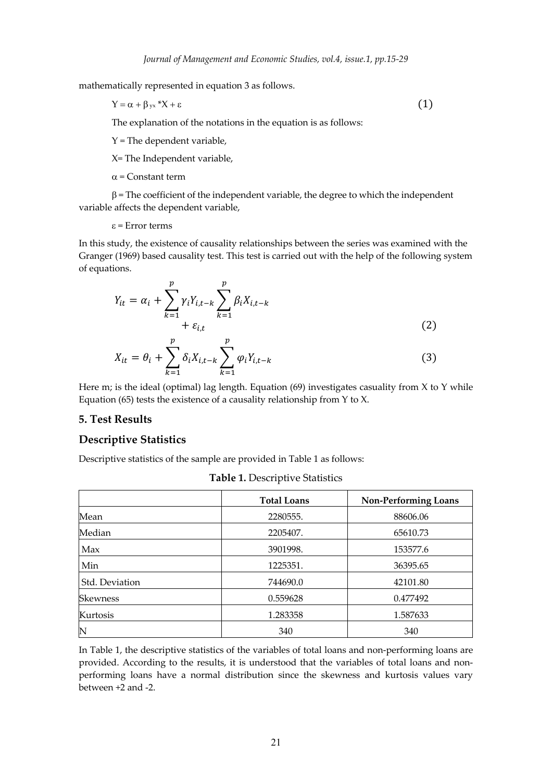mathematically represented in equation 3 as follows.

$$
Y = \alpha + \beta_{yx} * X + \varepsilon \tag{1}
$$

The explanation of the notations in the equation is as follows:

 $Y$  = The dependent variable,

X= The Independent variable,

 $\alpha$  = Constant term

 $\beta$  = The coefficient of the independent variable, the degree to which the independent variable affects the dependent variable,

#### $\varepsilon$  = Error terms

In this study, the existence of causality relationships between the series was examined with the Granger (1969) based causality test. This test is carried out with the help of the following system of equations.

$$
Y_{it} = \alpha_i + \sum_{k=1}^p \gamma_i Y_{i,t-k} \sum_{k=1}^p \beta_i X_{i,t-k}
$$
  
+  $\varepsilon_{i,t}$  (2)

$$
X_{it} = \theta_i + \sum_{k=1}^{p} \delta_i X_{i,t-k} \sum_{k=1}^{p} \varphi_i Y_{i,t-k}
$$
 (3)

Here m; is the ideal (optimal) lag length. Equation  $(69)$  investigates casuality from X to Y while Equation (65) tests the existence of a causality relationship from Y to X.

#### **5. Test Results**

#### **Descriptive Statistics**

Descriptive statistics of the sample are provided in Table 1 as follows:

|                 | <b>Total Loans</b> | <b>Non-Performing Loans</b> |  |
|-----------------|--------------------|-----------------------------|--|
| Mean            | 2280555.           | 88606.06                    |  |
| Median          | 2205407.           | 65610.73                    |  |
| Max             | 3901998.           | 153577.6                    |  |
| Min             | 1225351.           | 36395.65                    |  |
| Std. Deviation  | 744690.0           | 42101.80                    |  |
| <b>Skewness</b> | 0.559628           | 0.477492                    |  |
| Kurtosis        | 1.283358           | 1.587633                    |  |
| $\mathbb N$     | 340                | 340                         |  |

**Table 1.** Descriptive Statistics

In Table 1, the descriptive statistics of the variables of total loans and non-performing loans are provided. According to the results, it is understood that the variables of total loans and nonperforming loans have a normal distribution since the skewness and kurtosis values vary between +2 and -2.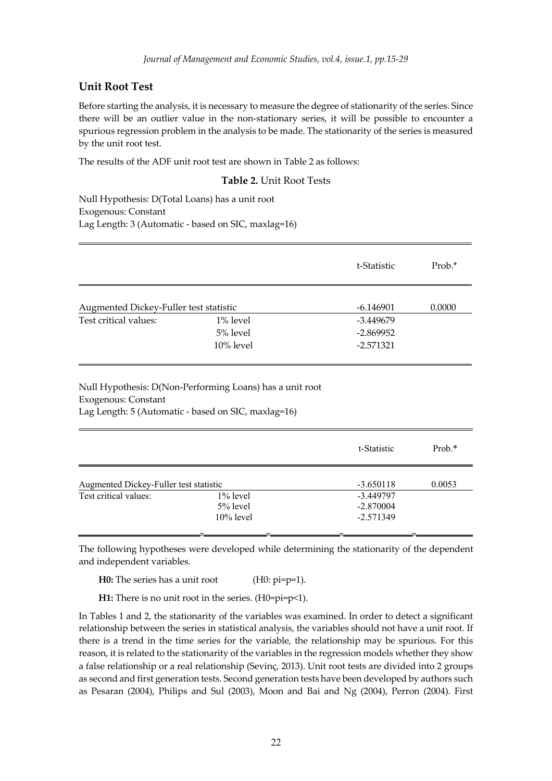### **Unit Root Test**

Before starting the analysis, it is necessary to measure the degree of stationarity of the series. Since there will be an outlier value in the non-stationary series, it will be possible to encounter a spurious regression problem in the analysis to be made. The stationarity of the series is measured by the unit root test.

The results of the ADF unit root test are shown in Table 2 as follows:

#### **Table 2.** Unit Root Tests

Null Hypothesis: D(Total Loans) has a unit root Exogenous: Constant Lag Length: 3 (Automatic - based on SIC, maxlag=16)

|                                        |             | t-Statistic | Prob.* |
|----------------------------------------|-------------|-------------|--------|
| Augmented Dickey-Fuller test statistic | $-6.146901$ | 0.0000      |        |
| Test critical values:                  | $1\%$ level | -3.449679   |        |
|                                        | 5% level    | $-2.869952$ |        |
|                                        | 10% level   | $-2.571321$ |        |

Null Hypothesis: D(Non-Performing Loans) has a unit root Exogenous: Constant Lag Length: 5 (Automatic - based on SIC, maxlag=16)

|                                        |                                            | t-Statistic                             | $Prob.*$ |
|----------------------------------------|--------------------------------------------|-----------------------------------------|----------|
| Augmented Dickey-Fuller test statistic |                                            | $-3.650118$                             | 0.0053   |
| Test critical values:                  | $1\%$ level<br>$5\%$ level<br>$10\%$ level | -3.449797<br>$-2.870004$<br>$-2.571349$ |          |

The following hypotheses were developed while determining the stationarity of the dependent and independent variables.

**H0:** The series has a unit root (H0: pi=p=1).

**H1:** There is no unit root in the series. (H0=pi=p<1).

In Tables 1 and 2, the stationarity of the variables was examined. In order to detect a significant relationship between the series in statistical analysis, the variables should not have a unit root. If there is a trend in the time series for the variable, the relationship may be spurious. For this reason, it is related to the stationarity of the variables in the regression models whether they show a false relationship or a real relationship (Sevinç, 2013). Unit root tests are divided into 2 groups as second and first generation tests. Second generation tests have been developed by authors such as Pesaran (2004), Philips and Sul (2003), Moon and Bai and Ng (2004), Perron (2004). First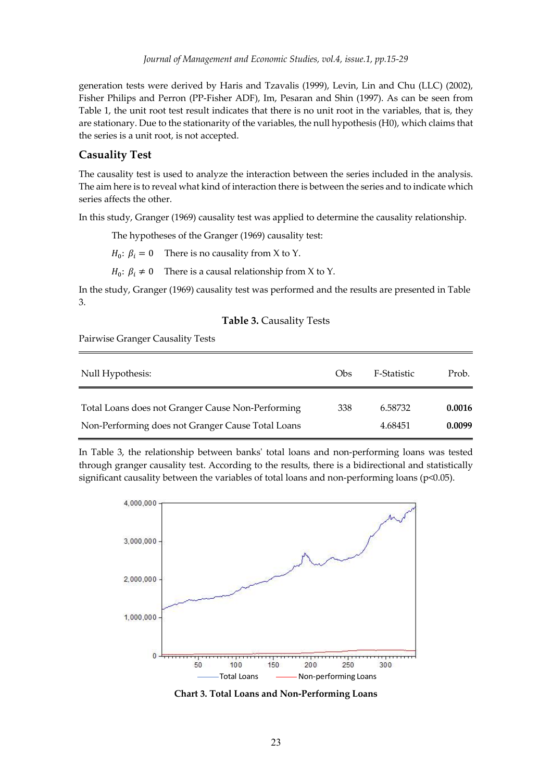generation tests were derived by Haris and Tzavalis (1999), Levin, Lin and Chu (LLC) (2002), Fisher Philips and Perron (PP-Fisher ADF), Im, Pesaran and Shin (1997). As can be seen from Table 1, the unit root test result indicates that there is no unit root in the variables, that is, they are stationary. Due to the stationarity of the variables, the null hypothesis (H0), which claims that the series is a unit root, is not accepted.

#### **Casuality Test**

The causality test is used to analyze the interaction between the series included in the analysis. The aim here is to reveal what kind of interaction there is between the series and to indicate which series affects the other.

In this study, Granger (1969) causality test was applied to determine the causality relationship.

The hypotheses of the Granger (1969) causality test:

 $H_0$ :  $\beta_i = 0$  There is no causality from X to Y.

 $H_0$ :  $\beta_i \neq 0$  There is a causal relationship from X to Y.

In the study, Granger (1969) causality test was performed and the results are presented in Table 3.

#### **Table 3.** Causality Tests

Pairwise Granger Causality Tests

| Null Hypothesis:                                  | Obs | F-Statistic | Prob.  |
|---------------------------------------------------|-----|-------------|--------|
| Total Loans does not Granger Cause Non-Performing | 338 | 6.58732     | 0.0016 |
| Non-Performing does not Granger Cause Total Loans |     | 4.68451     | 0.0099 |

In Table 3, the relationship between banks' total loans and non-performing loans was tested through granger causality test. According to the results, there is a bidirectional and statistically significant causality between the variables of total loans and non-performing loans (p<0.05).



**Chart 3. Total Loans and Non-Performing Loans**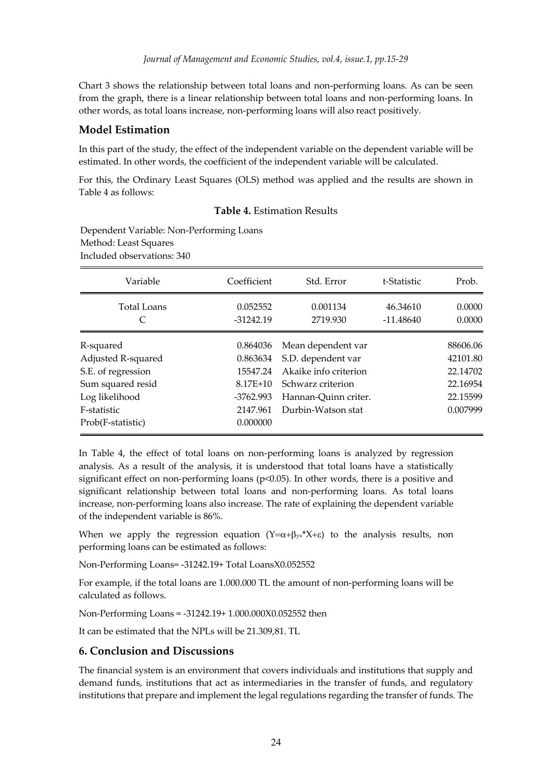Chart 3 shows the relationship between total loans and non-performing loans. As can be seen from the graph, there is a linear relationship between total loans and non-performing loans. In other words, as total loans increase, non-performing loans will also react positively.

## **Model Estimation**

In this part of the study, the effect of the independent variable on the dependent variable will be estimated. In other words, the coefficient of the independent variable will be calculated.

For this, the Ordinary Least Squares (OLS) method was applied and the results are shown in Table 4 as follows:

### **Table 4.** Estimation Results

Dependent Variable: Non-Performing Loans Method: Least Squares Included observations: 340

| Variable                                                                                                                         | Coefficient                                                                           | Std. Error                                                                                                                           | t-Statistic             | Prob.                                                                |
|----------------------------------------------------------------------------------------------------------------------------------|---------------------------------------------------------------------------------------|--------------------------------------------------------------------------------------------------------------------------------------|-------------------------|----------------------------------------------------------------------|
| Total Loans                                                                                                                      | 0.052552<br>$-31242.19$                                                               | 0.001134<br>2719.930                                                                                                                 | 46.34610<br>$-11.48640$ | 0.0000<br>0.0000                                                     |
| R-squared<br>Adjusted R-squared<br>S.E. of regression<br>Sum squared resid<br>Log likelihood<br>F-statistic<br>Prob(F-statistic) | 0.864036<br>0.863634<br>15547.24<br>$8.17E + 10$<br>-3762.993<br>2147.961<br>0.000000 | Mean dependent var<br>S.D. dependent var<br>Akaike info criterion<br>Schwarz criterion<br>Hannan-Quinn criter.<br>Durbin-Watson stat |                         | 88606.06<br>42101.80<br>22.14702<br>22.16954<br>22.15599<br>0.007999 |

In Table 4, the effect of total loans on non-performing loans is analyzed by regression analysis. As a result of the analysis, it is understood that total loans have a statistically significant effect on non-performing loans (p<0.05). In other words, there is a positive and significant relationship between total loans and non-performing loans. As total loans increase, non-performing loans also increase. The rate of explaining the dependent variable of the independent variable is 86%.

When we apply the regression equation  $(Y=\alpha+\beta_{yx}^*X+\epsilon)$  to the analysis results, non performing loans can be estimated as follows:

Non-Performing Loans= -31242.19+ Total LoansX0.052552

For example, if the total loans are 1.000.000 TL the amount of non-performing loans will be calculated as follows.

Non-Performing Loans = -31242.19+ 1.000.000X0.052552 then

It can be estimated that the NPLs will be 21.309,81. TL

### **6. Conclusion and Discussions**

The financial system is an environment that covers individuals and institutions that supply and demand funds, institutions that act as intermediaries in the transfer of funds, and regulatory institutions that prepare and implement the legal regulations regarding the transfer of funds. The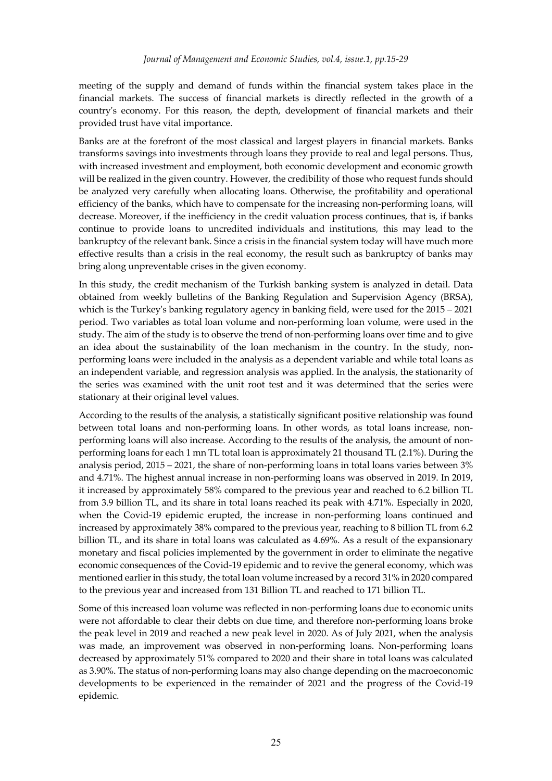meeting of the supply and demand of funds within the financial system takes place in the financial markets. The success of financial markets is directly reflected in the growth of a country's economy. For this reason, the depth, development of financial markets and their provided trust have vital importance.

Banks are at the forefront of the most classical and largest players in financial markets. Banks transforms savings into investments through loans they provide to real and legal persons. Thus, with increased investment and employment, both economic development and economic growth will be realized in the given country. However, the credibility of those who request funds should be analyzed very carefully when allocating loans. Otherwise, the profitability and operational efficiency of the banks, which have to compensate for the increasing non-performing loans, will decrease. Moreover, if the inefficiency in the credit valuation process continues, that is, if banks continue to provide loans to uncredited individuals and institutions, this may lead to the bankruptcy of the relevant bank. Since a crisis in the financial system today will have much more effective results than a crisis in the real economy, the result such as bankruptcy of banks may bring along unpreventable crises in the given economy.

In this study, the credit mechanism of the Turkish banking system is analyzed in detail. Data obtained from weekly bulletins of the Banking Regulation and Supervision Agency (BRSA), which is the Turkey's banking regulatory agency in banking field, were used for the 2015 – 2021 period. Two variables as total loan volume and non-performing loan volume, were used in the study. The aim of the study is to observe the trend of non-performing loans over time and to give an idea about the sustainability of the loan mechanism in the country. In the study, nonperforming loans were included in the analysis as a dependent variable and while total loans as an independent variable, and regression analysis was applied. In the analysis, the stationarity of the series was examined with the unit root test and it was determined that the series were stationary at their original level values.

According to the results of the analysis, a statistically significant positive relationship was found between total loans and non-performing loans. In other words, as total loans increase, nonperforming loans will also increase. According to the results of the analysis, the amount of nonperforming loans for each 1 mn TL total loan is approximately 21 thousand TL (2.1%). During the analysis period, 2015 – 2021, the share of non-performing loans in total loans varies between 3% and 4.71%. The highest annual increase in non-performing loans was observed in 2019. In 2019, it increased by approximately 58% compared to the previous year and reached to 6.2 billion TL from 3.9 billion TL, and its share in total loans reached its peak with 4.71%. Especially in 2020, when the Covid-19 epidemic erupted, the increase in non-performing loans continued and increased by approximately 38% compared to the previous year, reaching to 8 billion TL from 6.2 billion TL, and its share in total loans was calculated as 4.69%. As a result of the expansionary monetary and fiscal policies implemented by the government in order to eliminate the negative economic consequences of the Covid-19 epidemic and to revive the general economy, which was mentioned earlier in this study, the total loan volume increased by a record 31% in 2020 compared to the previous year and increased from 131 Billion TL and reached to 171 billion TL.

Some of this increased loan volume was reflected in non-performing loans due to economic units were not affordable to clear their debts on due time, and therefore non-performing loans broke the peak level in 2019 and reached a new peak level in 2020. As of July 2021, when the analysis was made, an improvement was observed in non-performing loans. Non-performing loans decreased by approximately 51% compared to 2020 and their share in total loans was calculated as 3.90%. The status of non-performing loans may also change depending on the macroeconomic developments to be experienced in the remainder of 2021 and the progress of the Covid-19 epidemic.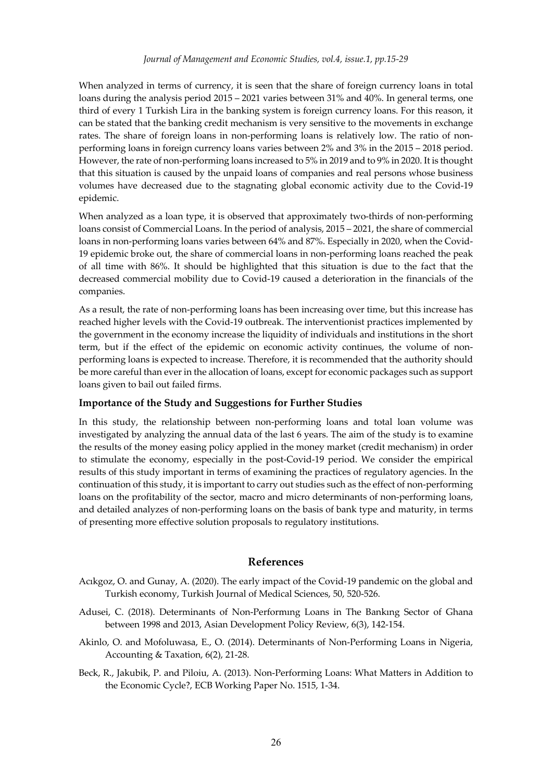When analyzed in terms of currency, it is seen that the share of foreign currency loans in total loans during the analysis period 2015 – 2021 varies between 31% and 40%. In general terms, one third of every 1 Turkish Lira in the banking system is foreign currency loans. For this reason, it can be stated that the banking credit mechanism is very sensitive to the movements in exchange rates. The share of foreign loans in non-performing loans is relatively low. The ratio of nonperforming loans in foreign currency loans varies between 2% and 3% in the 2015 – 2018 period. However, the rate of non-performing loans increased to 5% in 2019 and to 9% in 2020. It is thought that this situation is caused by the unpaid loans of companies and real persons whose business volumes have decreased due to the stagnating global economic activity due to the Covid-19 epidemic.

When analyzed as a loan type, it is observed that approximately two-thirds of non-performing loans consist of Commercial Loans. In the period of analysis, 2015 – 2021, the share of commercial loans in non-performing loans varies between 64% and 87%. Especially in 2020, when the Covid-19 epidemic broke out, the share of commercial loans in non-performing loans reached the peak of all time with 86%. It should be highlighted that this situation is due to the fact that the decreased commercial mobility due to Covid-19 caused a deterioration in the financials of the companies.

As a result, the rate of non-performing loans has been increasing over time, but this increase has reached higher levels with the Covid-19 outbreak. The interventionist practices implemented by the government in the economy increase the liquidity of individuals and institutions in the short term, but if the effect of the epidemic on economic activity continues, the volume of nonperforming loans is expected to increase. Therefore, it is recommended that the authority should be more careful than ever in the allocation of loans, except for economic packages such as support loans given to bail out failed firms.

#### **Importance of the Study and Suggestions for Further Studies**

In this study, the relationship between non-performing loans and total loan volume was investigated by analyzing the annual data of the last 6 years. The aim of the study is to examine the results of the money easing policy applied in the money market (credit mechanism) in order to stimulate the economy, especially in the post-Covid-19 period. We consider the empirical results of this study important in terms of examining the practices of regulatory agencies. In the continuation of this study, it is important to carry out studies such as the effect of non-performing loans on the profitability of the sector, macro and micro determinants of non-performing loans, and detailed analyzes of non-performing loans on the basis of bank type and maturity, in terms of presenting more effective solution proposals to regulatory institutions.

#### **References**

- Acıkgoz, O. and Gunay, A. (2020). The early impact of the Covid-19 pandemic on the global and Turkish economy, Turkish Journal of Medical Sciences, 50, 520-526.
- Adusei, C. (2018). Determinants of Non-Performıng Loans in The Bankıng Sector of Ghana between 1998 and 2013, Asian Development Policy Review, 6(3), 142-154.
- Akinlo, O. and Mofoluwasa, E., O. (2014). Determinants of Non-Performing Loans in Nigeria, Accounting & Taxation, 6(2), 21-28.
- Beck, R., Jakubik, P. and Piloiu, A. (2013). Non-Performing Loans: What Matters in Addition to the Economic Cycle?, ECB Working Paper No. 1515, 1-34.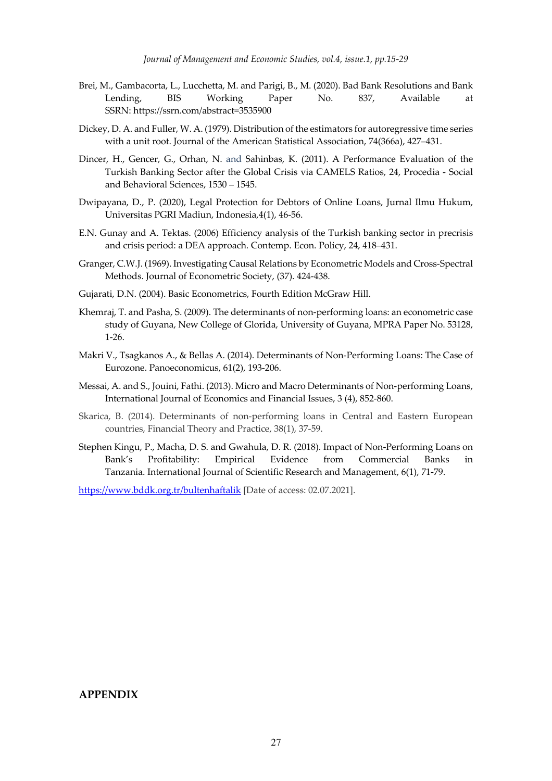- Brei, M., Gambacorta, L., Lucchetta, M. and Parigi, B., M. (2020). Bad Bank Resolutions and Bank Lending, BIS Working Paper No. 837, Available at SSRN: https://ssrn.com/abstract=3535900
- Dickey, D. A. and Fuller, W. A. (1979). Distribution of the estimators for autoregressive time series with a unit root. Journal of the American Statistical Association, 74(366a), 427–431.
- Dincer, H., Gencer, G., Orhan, N. and Sahinbas, K. (2011). A Performance Evaluation of the Turkish Banking Sector after the Global Crisis via CAMELS Ratios, 24, Procedia - Social and Behavioral Sciences, 1530 – 1545.
- Dwipayana, D., P. (2020), Legal Protection for Debtors of Online Loans, Jurnal Ilmu Hukum, Universitas PGRI Madiun, Indonesia,4(1), 46-56.
- E.N. Gunay and A. Tektas. (2006) Efficiency analysis of the Turkish banking sector in precrisis and crisis period: a DEA approach. Contemp. Econ. Policy, 24, 418–431.
- Granger, C.W.J. (1969). Investigating Causal Relations by Econometric Models and Cross-Spectral Methods. Journal of Econometric Society, (37). 424-438.
- Gujarati, D.N. (2004). Basic Econometrics, Fourth Edition McGraw Hill.
- Khemraj, T. and Pasha, S. (2009). The determinants of non-performing loans: an econometric case study of Guyana, New College of Glorida, University of Guyana, MPRA Paper No. 53128, 1-26.
- Makri V., Tsagkanos A., & Bellas A. (2014). Determinants of Non-Performing Loans: The Case of Eurozone. Panoeconomicus, 61(2), 193-206.
- Messai, A. and S., Jouini, Fathi. (2013). Micro and Macro Determinants of Non-performing Loans, International Journal of Economics and Financial Issues, 3 (4), 852-860.
- Skarica, B. (2014). Determinants of non-performing loans in Central and Eastern European countries, Financial Theory and Practice, 38(1), 37-59.
- Stephen Kingu, P., Macha, D. S. and Gwahula, D. R. (2018). Impact of Non-Performing Loans on Bank's Profitability: Empirical Evidence from Commercial Banks in Tanzania. International Journal of Scientific Research and Management, 6(1), 71-79.

https://www.bddk.org.tr/bultenhaftalik [Date of access: 02.07.2021].

#### **APPENDIX**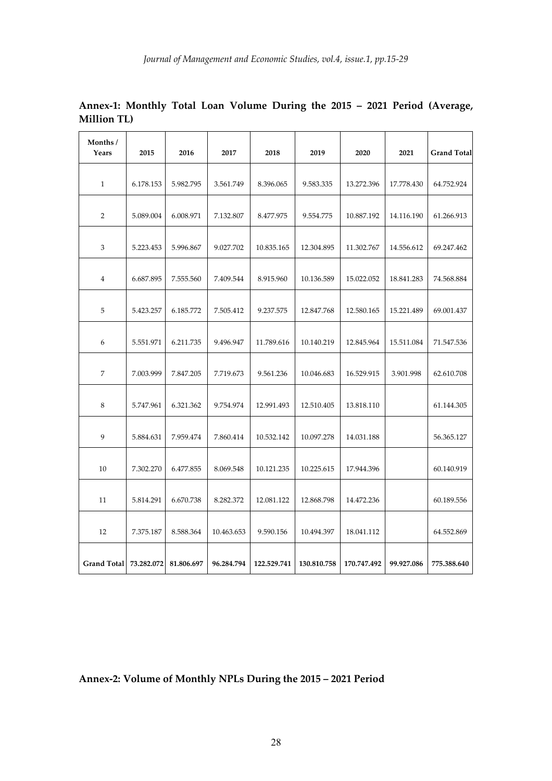| Months/<br>Years   | 2015       | 2016       | 2017       | 2018        | 2019        | 2020        | 2021       | <b>Grand Total</b> |
|--------------------|------------|------------|------------|-------------|-------------|-------------|------------|--------------------|
| $\mathbf{1}$       | 6.178.153  | 5.982.795  | 3.561.749  | 8.396.065   | 9.583.335   | 13.272.396  | 17.778.430 | 64.752.924         |
| 2                  | 5.089.004  | 6.008.971  | 7.132.807  | 8.477.975   | 9.554.775   | 10.887.192  | 14.116.190 | 61.266.913         |
| 3                  | 5.223.453  | 5.996.867  | 9.027.702  | 10.835.165  | 12.304.895  | 11.302.767  | 14.556.612 | 69.247.462         |
| $\overline{4}$     | 6.687.895  | 7.555.560  | 7.409.544  | 8.915.960   | 10.136.589  | 15.022.052  | 18.841.283 | 74.568.884         |
| 5                  | 5.423.257  | 6.185.772  | 7.505.412  | 9.237.575   | 12.847.768  | 12.580.165  | 15.221.489 | 69.001.437         |
| 6                  | 5.551.971  | 6.211.735  | 9.496.947  | 11.789.616  | 10.140.219  | 12.845.964  | 15.511.084 | 71.547.536         |
| 7                  | 7.003.999  | 7.847.205  | 7.719.673  | 9.561.236   | 10.046.683  | 16.529.915  | 3.901.998  | 62.610.708         |
| 8                  | 5.747.961  | 6.321.362  | 9.754.974  | 12.991.493  | 12.510.405  | 13.818.110  |            | 61.144.305         |
| 9                  | 5.884.631  | 7.959.474  | 7.860.414  | 10.532.142  | 10.097.278  | 14.031.188  |            | 56.365.127         |
| 10                 | 7.302.270  | 6.477.855  | 8.069.548  | 10.121.235  | 10.225.615  | 17.944.396  |            | 60.140.919         |
| 11                 | 5.814.291  | 6.670.738  | 8.282.372  | 12.081.122  | 12.868.798  | 14.472.236  |            | 60.189.556         |
| 12                 | 7.375.187  | 8.588.364  | 10.463.653 | 9.590.156   | 10.494.397  | 18.041.112  |            | 64.552.869         |
| <b>Grand Total</b> | 73.282.072 | 81.806.697 | 96.284.794 | 122.529.741 | 130.810.758 | 170.747.492 | 99.927.086 | 775.388.640        |

**Annex-1: Monthly Total Loan Volume During the 2015 – 2021 Period (Average, Million TL)**

# **Annex-2: Volume of Monthly NPLs During the 2015 – 2021 Period**